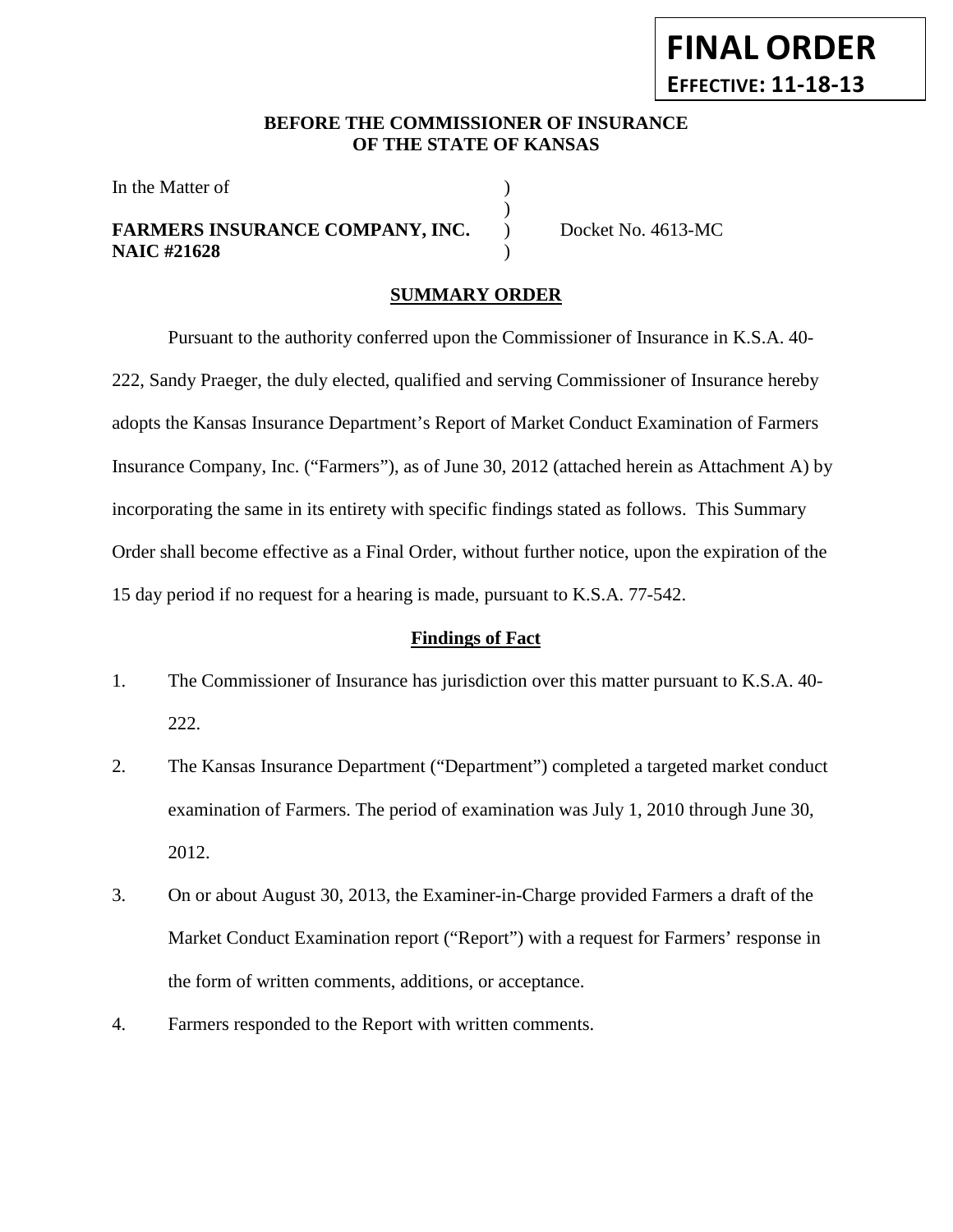### **BEFORE THE COMMISSIONER OF INSURANCE OF THE STATE OF KANSAS**

)

In the Matter of  $\qquad \qquad$  )

# FARMERS INSURANCE COMPANY, INC. Docket No. 4613-MC **NAIC #21628** )

**FINAL ORDER**

**EFFECTIVE: 11-18-13**

### **SUMMARY ORDER**

Pursuant to the authority conferred upon the Commissioner of Insurance in K.S.A. 40- 222, Sandy Praeger, the duly elected, qualified and serving Commissioner of Insurance hereby adopts the Kansas Insurance Department's Report of Market Conduct Examination of Farmers Insurance Company, Inc. ("Farmers"), as of June 30, 2012 (attached herein as Attachment A) by incorporating the same in its entirety with specific findings stated as follows. This Summary Order shall become effective as a Final Order, without further notice, upon the expiration of the 15 day period if no request for a hearing is made, pursuant to K.S.A. 77-542.

#### **Findings of Fact**

- 1. The Commissioner of Insurance has jurisdiction over this matter pursuant to K.S.A. 40- 222.
- 2. The Kansas Insurance Department ("Department") completed a targeted market conduct examination of Farmers. The period of examination was July 1, 2010 through June 30, 2012.
- 3. On or about August 30, 2013, the Examiner-in-Charge provided Farmers a draft of the Market Conduct Examination report ("Report") with a request for Farmers' response in the form of written comments, additions, or acceptance.
- 4. Farmers responded to the Report with written comments.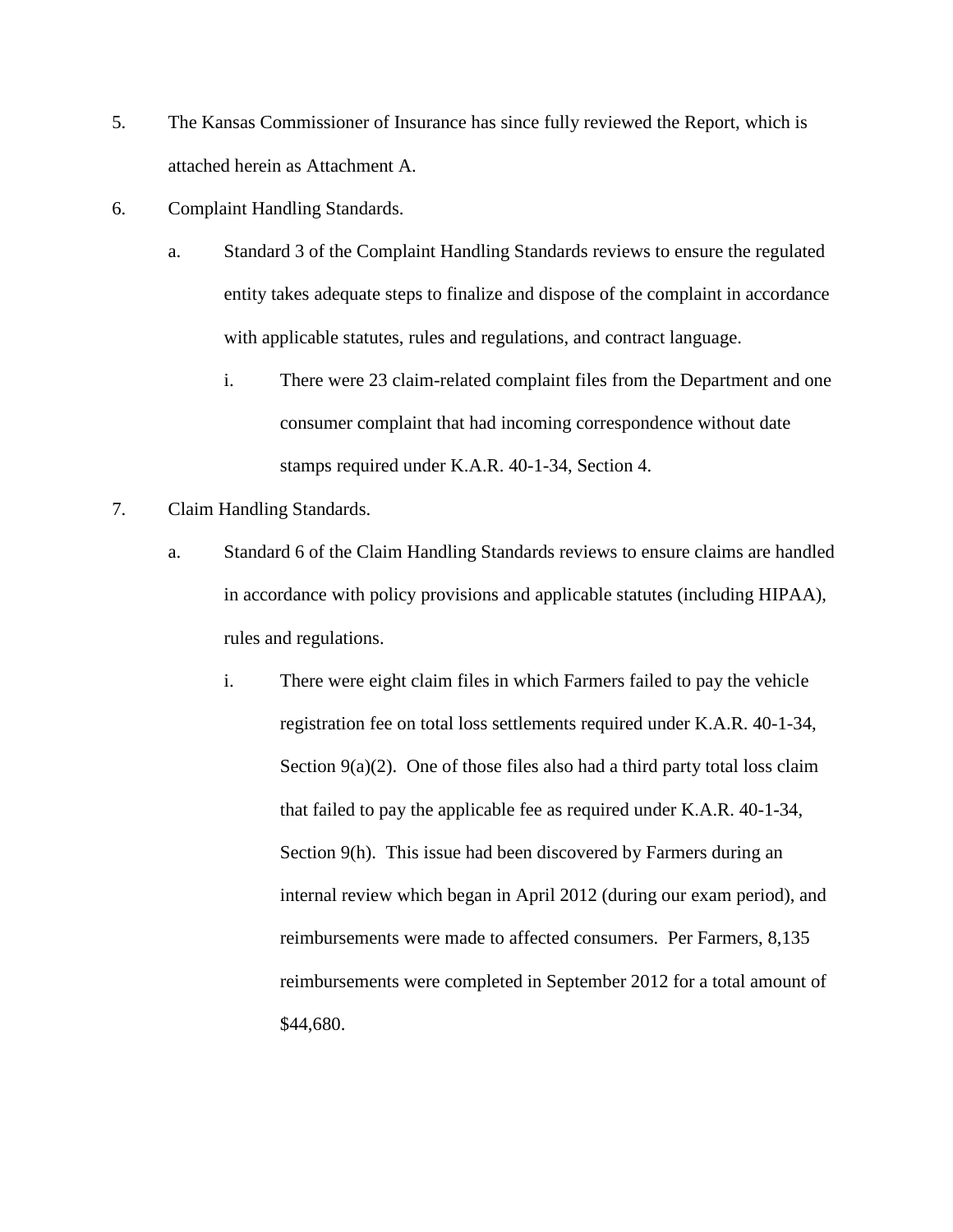- 5. The Kansas Commissioner of Insurance has since fully reviewed the Report, which is attached herein as Attachment A.
- 6. Complaint Handling Standards.
	- a. Standard 3 of the Complaint Handling Standards reviews to ensure the regulated entity takes adequate steps to finalize and dispose of the complaint in accordance with applicable statutes, rules and regulations, and contract language.
		- i. There were 23 claim-related complaint files from the Department and one consumer complaint that had incoming correspondence without date stamps required under K.A.R. 40-1-34, Section 4.
- 7. Claim Handling Standards.
	- a. Standard 6 of the Claim Handling Standards reviews to ensure claims are handled in accordance with policy provisions and applicable statutes (including HIPAA), rules and regulations.
		- i. There were eight claim files in which Farmers failed to pay the vehicle registration fee on total loss settlements required under K.A.R. 40-1-34, Section  $9(a)(2)$ . One of those files also had a third party total loss claim that failed to pay the applicable fee as required under K.A.R. 40-1-34, Section 9(h). This issue had been discovered by Farmers during an internal review which began in April 2012 (during our exam period), and reimbursements were made to affected consumers. Per Farmers, 8,135 reimbursements were completed in September 2012 for a total amount of \$44,680.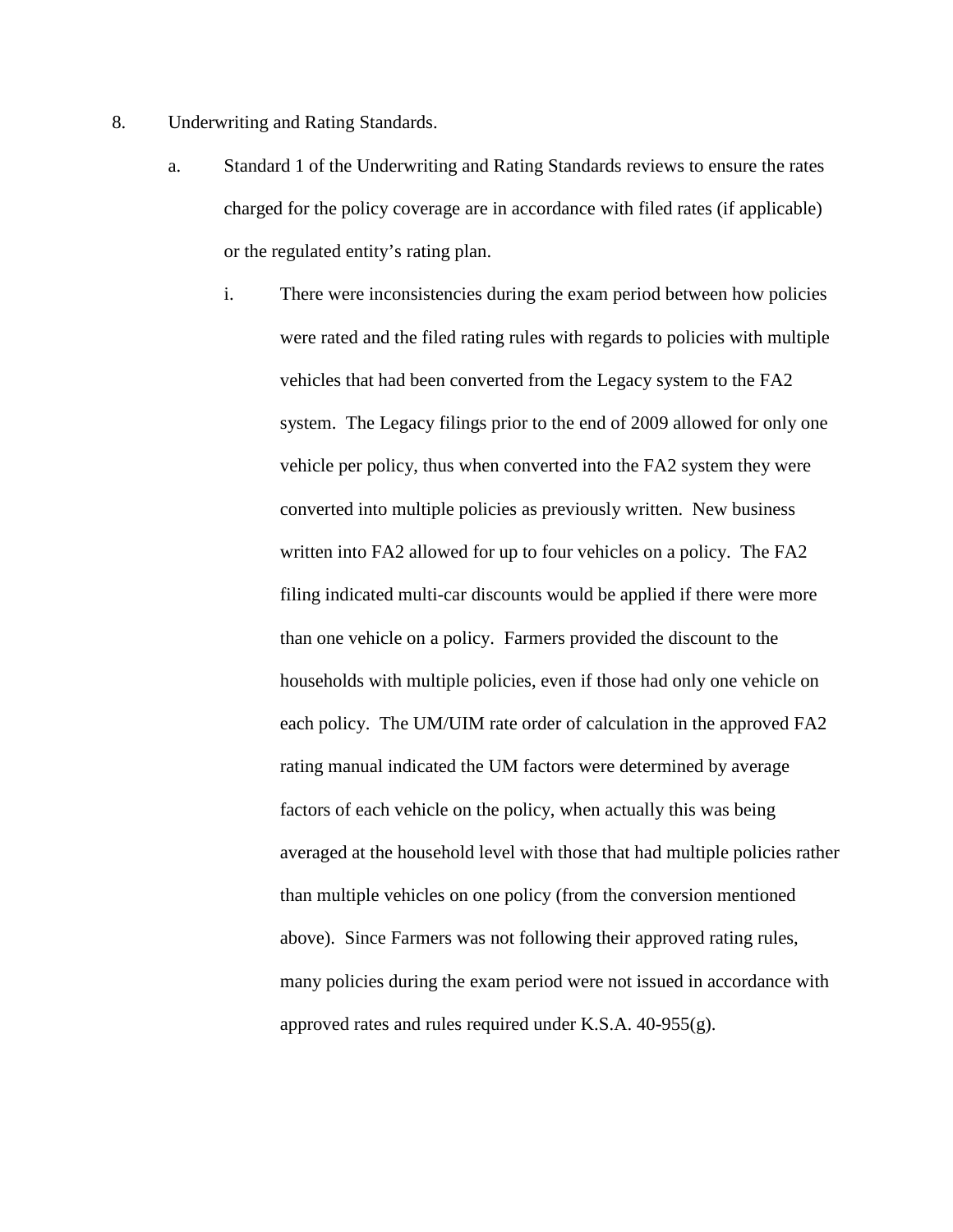- 8. Underwriting and Rating Standards.
	- a. Standard 1 of the Underwriting and Rating Standards reviews to ensure the rates charged for the policy coverage are in accordance with filed rates (if applicable) or the regulated entity's rating plan.
		- i. There were inconsistencies during the exam period between how policies were rated and the filed rating rules with regards to policies with multiple vehicles that had been converted from the Legacy system to the FA2 system. The Legacy filings prior to the end of 2009 allowed for only one vehicle per policy, thus when converted into the FA2 system they were converted into multiple policies as previously written. New business written into FA2 allowed for up to four vehicles on a policy. The FA2 filing indicated multi-car discounts would be applied if there were more than one vehicle on a policy. Farmers provided the discount to the households with multiple policies, even if those had only one vehicle on each policy. The UM/UIM rate order of calculation in the approved FA2 rating manual indicated the UM factors were determined by average factors of each vehicle on the policy, when actually this was being averaged at the household level with those that had multiple policies rather than multiple vehicles on one policy (from the conversion mentioned above). Since Farmers was not following their approved rating rules, many policies during the exam period were not issued in accordance with approved rates and rules required under K.S.A. 40-955(g).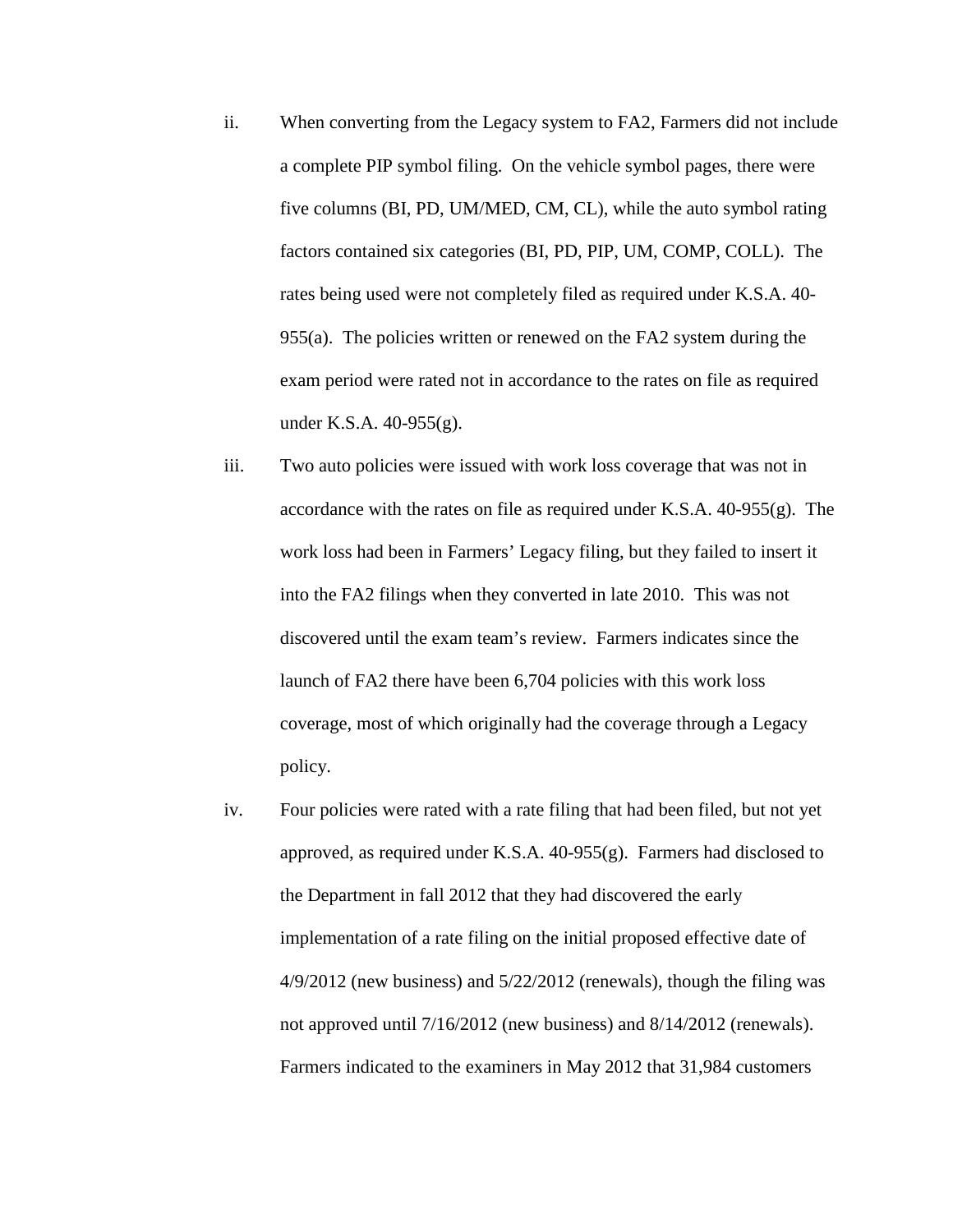- ii. When converting from the Legacy system to FA2, Farmers did not include a complete PIP symbol filing. On the vehicle symbol pages, there were five columns (BI, PD, UM/MED, CM, CL), while the auto symbol rating factors contained six categories (BI, PD, PIP, UM, COMP, COLL). The rates being used were not completely filed as required under K.S.A. 40- 955(a). The policies written or renewed on the FA2 system during the exam period were rated not in accordance to the rates on file as required under K.S.A. 40-955(g).
- iii. Two auto policies were issued with work loss coverage that was not in accordance with the rates on file as required under K.S.A. 40-955(g). The work loss had been in Farmers' Legacy filing, but they failed to insert it into the FA2 filings when they converted in late 2010. This was not discovered until the exam team's review. Farmers indicates since the launch of FA2 there have been 6,704 policies with this work loss coverage, most of which originally had the coverage through a Legacy policy.
- iv. Four policies were rated with a rate filing that had been filed, but not yet approved, as required under K.S.A. 40-955(g). Farmers had disclosed to the Department in fall 2012 that they had discovered the early implementation of a rate filing on the initial proposed effective date of 4/9/2012 (new business) and 5/22/2012 (renewals), though the filing was not approved until 7/16/2012 (new business) and 8/14/2012 (renewals). Farmers indicated to the examiners in May 2012 that 31,984 customers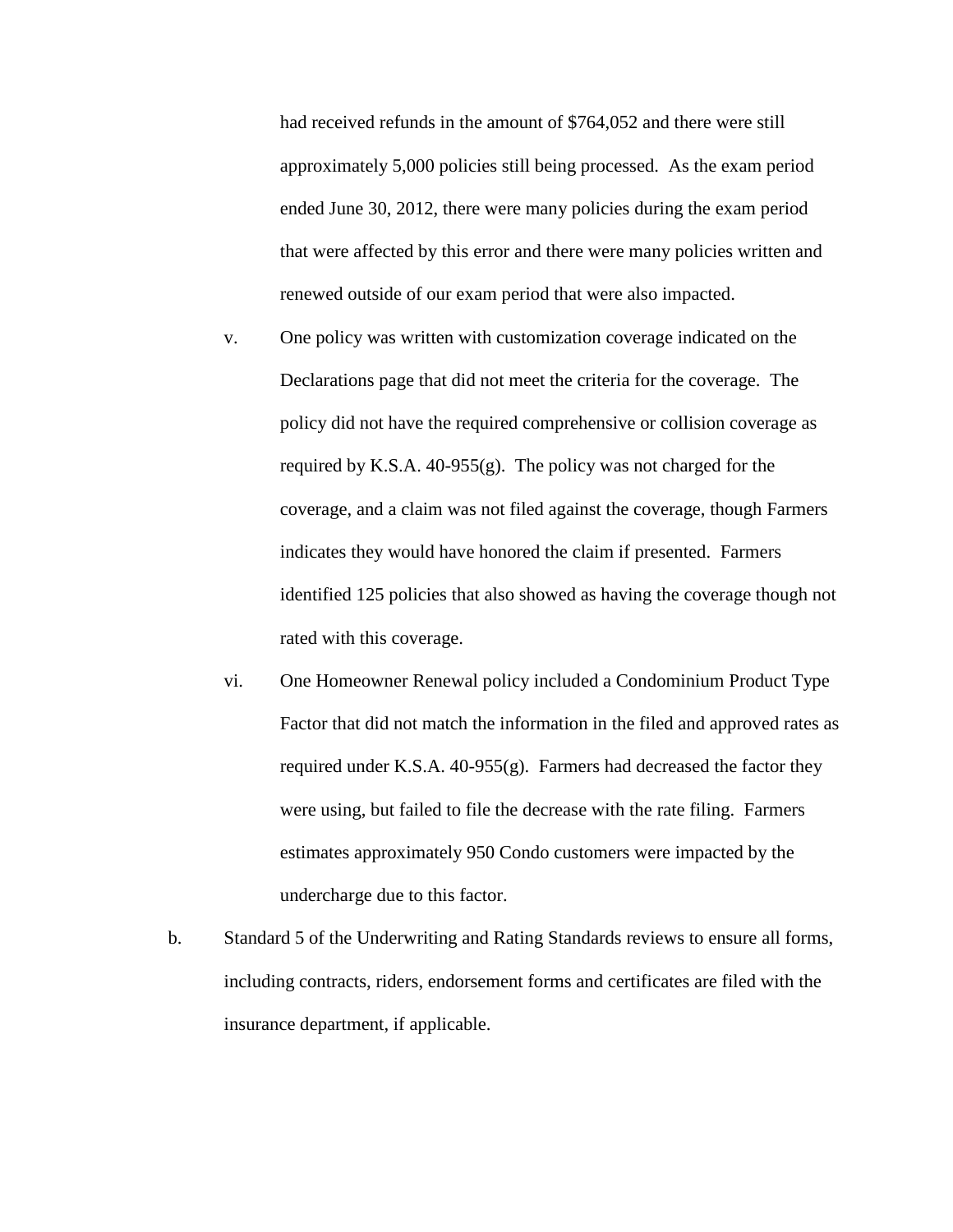had received refunds in the amount of \$764,052 and there were still approximately 5,000 policies still being processed. As the exam period ended June 30, 2012, there were many policies during the exam period that were affected by this error and there were many policies written and renewed outside of our exam period that were also impacted.

- v. One policy was written with customization coverage indicated on the Declarations page that did not meet the criteria for the coverage. The policy did not have the required comprehensive or collision coverage as required by K.S.A.  $40-955(g)$ . The policy was not charged for the coverage, and a claim was not filed against the coverage, though Farmers indicates they would have honored the claim if presented. Farmers identified 125 policies that also showed as having the coverage though not rated with this coverage.
- vi. One Homeowner Renewal policy included a Condominium Product Type Factor that did not match the information in the filed and approved rates as required under K.S.A.  $40-955(g)$ . Farmers had decreased the factor they were using, but failed to file the decrease with the rate filing. Farmers estimates approximately 950 Condo customers were impacted by the undercharge due to this factor.
- b. Standard 5 of the Underwriting and Rating Standards reviews to ensure all forms, including contracts, riders, endorsement forms and certificates are filed with the insurance department, if applicable.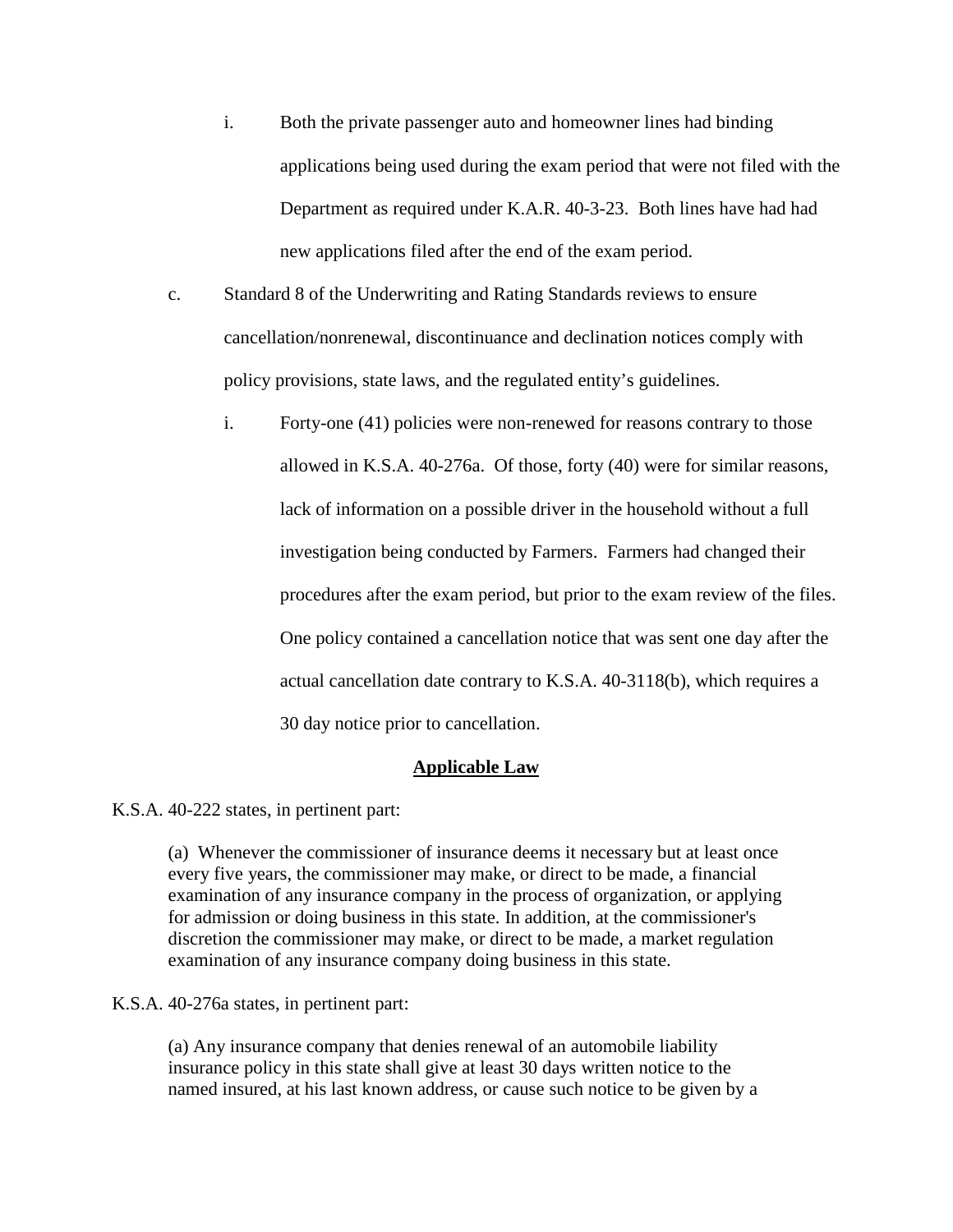- i. Both the private passenger auto and homeowner lines had binding applications being used during the exam period that were not filed with the Department as required under K.A.R. 40-3-23. Both lines have had had new applications filed after the end of the exam period.
- c. Standard 8 of the Underwriting and Rating Standards reviews to ensure cancellation/nonrenewal, discontinuance and declination notices comply with policy provisions, state laws, and the regulated entity's guidelines.
	- i. Forty-one (41) policies were non-renewed for reasons contrary to those allowed in K.S.A. 40-276a. Of those, forty (40) were for similar reasons, lack of information on a possible driver in the household without a full investigation being conducted by Farmers. Farmers had changed their procedures after the exam period, but prior to the exam review of the files. One policy contained a cancellation notice that was sent one day after the actual cancellation date contrary to K.S.A. 40-3118(b), which requires a 30 day notice prior to cancellation.

#### **Applicable Law**

K.S.A. 40-222 states, in pertinent part:

(a) Whenever the commissioner of insurance deems it necessary but at least once every five years, the commissioner may make, or direct to be made, a financial examination of any insurance company in the process of organization, or applying for admission or doing business in this state. In addition, at the commissioner's discretion the commissioner may make, or direct to be made, a market regulation examination of any insurance company doing business in this state.

K.S.A. 40-276a states, in pertinent part:

(a) Any insurance company that denies renewal of an automobile liability insurance policy in this state shall give at least 30 days written notice to the named insured, at his last known address, or cause such notice to be given by a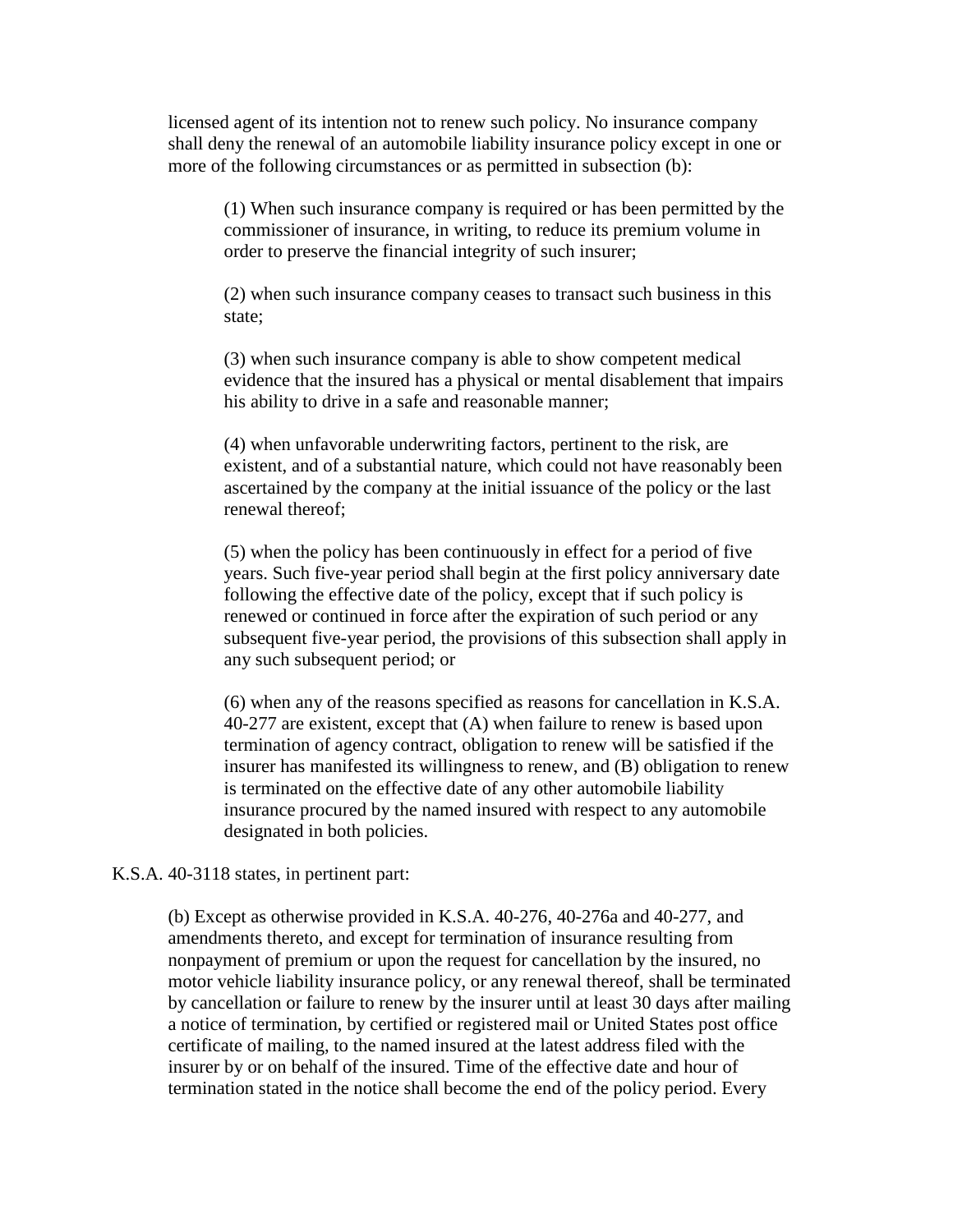licensed agent of its intention not to renew such policy. No insurance company shall deny the renewal of an automobile liability insurance policy except in one or more of the following circumstances or as permitted in subsection (b):

(1) When such insurance company is required or has been permitted by the commissioner of insurance, in writing, to reduce its premium volume in order to preserve the financial integrity of such insurer;

(2) when such insurance company ceases to transact such business in this state;

(3) when such insurance company is able to show competent medical evidence that the insured has a physical or mental disablement that impairs his ability to drive in a safe and reasonable manner;

(4) when unfavorable underwriting factors, pertinent to the risk, are existent, and of a substantial nature, which could not have reasonably been ascertained by the company at the initial issuance of the policy or the last renewal thereof;

(5) when the policy has been continuously in effect for a period of five years. Such five-year period shall begin at the first policy anniversary date following the effective date of the policy, except that if such policy is renewed or continued in force after the expiration of such period or any subsequent five-year period, the provisions of this subsection shall apply in any such subsequent period; or

(6) when any of the reasons specified as reasons for cancellation in K.S.A. 40-277 are existent, except that (A) when failure to renew is based upon termination of agency contract, obligation to renew will be satisfied if the insurer has manifested its willingness to renew, and (B) obligation to renew is terminated on the effective date of any other automobile liability insurance procured by the named insured with respect to any automobile designated in both policies.

K.S.A. 40-3118 states, in pertinent part:

(b) Except as otherwise provided in K.S.A. 40-276, 40-276a and 40-277, and amendments thereto, and except for termination of insurance resulting from nonpayment of premium or upon the request for cancellation by the insured, no motor vehicle liability insurance policy, or any renewal thereof, shall be terminated by cancellation or failure to renew by the insurer until at least 30 days after mailing a notice of termination, by certified or registered mail or United States post office certificate of mailing, to the named insured at the latest address filed with the insurer by or on behalf of the insured. Time of the effective date and hour of termination stated in the notice shall become the end of the policy period. Every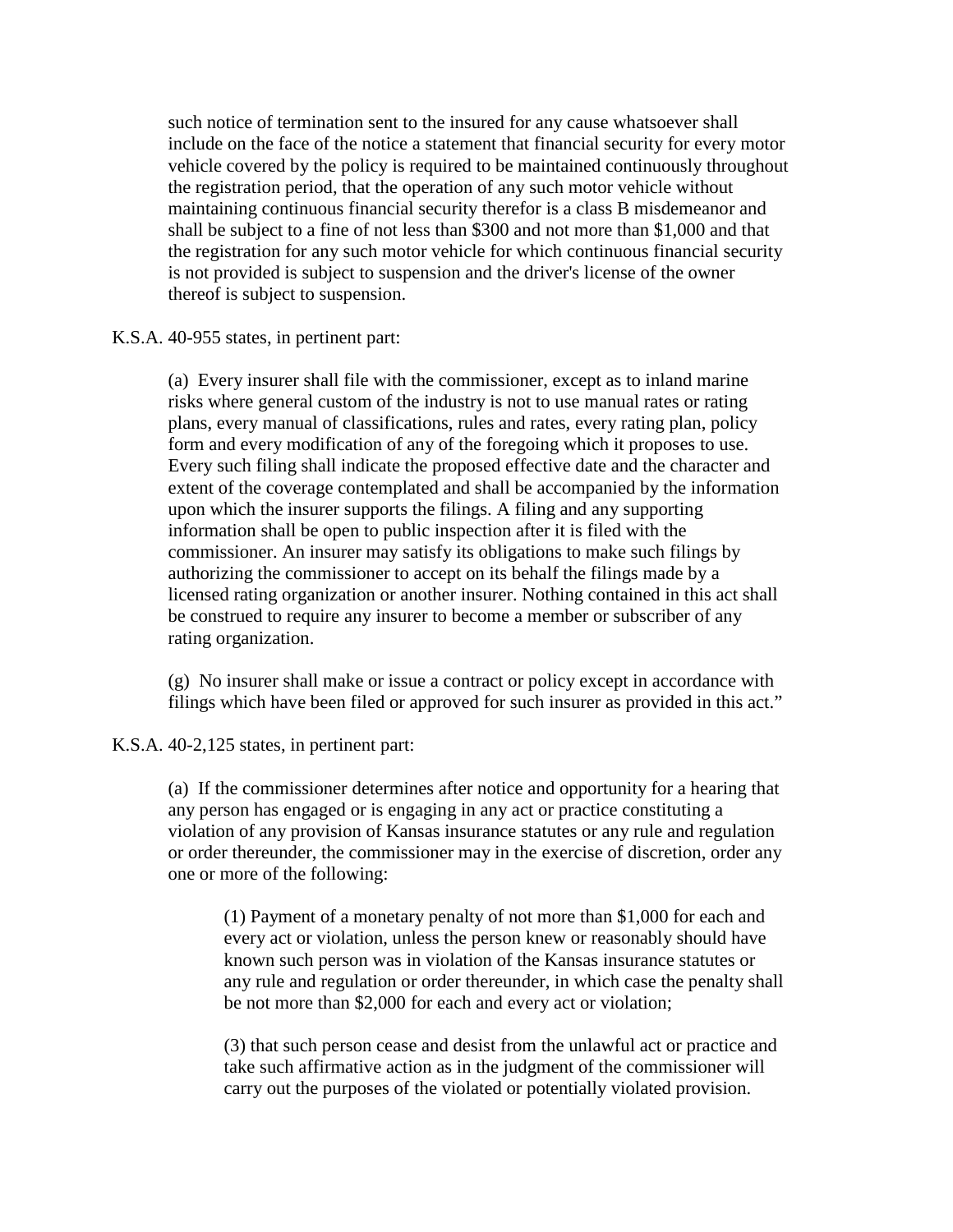such notice of termination sent to the insured for any cause whatsoever shall include on the face of the notice a statement that financial security for every motor vehicle covered by the policy is required to be maintained continuously throughout the registration period, that the operation of any such motor vehicle without maintaining continuous financial security therefor is a class B misdemeanor and shall be subject to a fine of not less than \$300 and not more than \$1,000 and that the registration for any such motor vehicle for which continuous financial security is not provided is subject to suspension and the driver's license of the owner thereof is subject to suspension.

K.S.A. 40-955 states, in pertinent part:

(a) Every insurer shall file with the commissioner, except as to inland marine risks where general custom of the industry is not to use manual rates or rating plans, every manual of classifications, rules and rates, every rating plan, policy form and every modification of any of the foregoing which it proposes to use. Every such filing shall indicate the proposed effective date and the character and extent of the coverage contemplated and shall be accompanied by the information upon which the insurer supports the filings. A filing and any supporting information shall be open to public inspection after it is filed with the commissioner. An insurer may satisfy its obligations to make such filings by authorizing the commissioner to accept on its behalf the filings made by a licensed rating organization or another insurer. Nothing contained in this act shall be construed to require any insurer to become a member or subscriber of any rating organization.

(g) No insurer shall make or issue a contract or policy except in accordance with filings which have been filed or approved for such insurer as provided in this act."

K.S.A. 40-2,125 states, in pertinent part:

(a) If the commissioner determines after notice and opportunity for a hearing that any person has engaged or is engaging in any act or practice constituting a violation of any provision of Kansas insurance statutes or any rule and regulation or order thereunder, the commissioner may in the exercise of discretion, order any one or more of the following:

(1) Payment of a monetary penalty of not more than \$1,000 for each and every act or violation, unless the person knew or reasonably should have known such person was in violation of the Kansas insurance statutes or any rule and regulation or order thereunder, in which case the penalty shall be not more than \$2,000 for each and every act or violation;

(3) that such person cease and desist from the unlawful act or practice and take such affirmative action as in the judgment of the commissioner will carry out the purposes of the violated or potentially violated provision.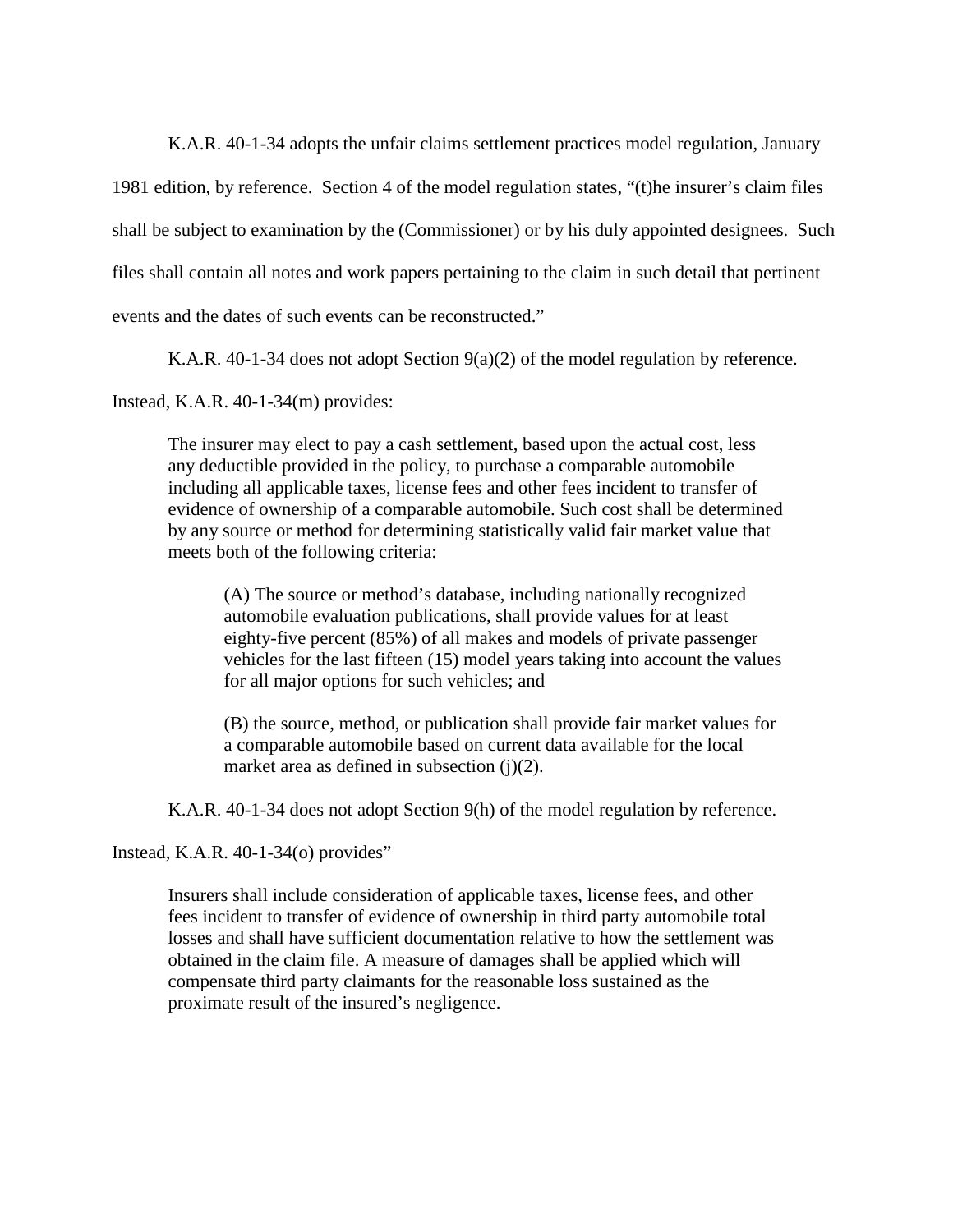K.A.R. 40-1-34 adopts the unfair claims settlement practices model regulation, January

1981 edition, by reference. Section 4 of the model regulation states, "(t)he insurer's claim files

shall be subject to examination by the (Commissioner) or by his duly appointed designees. Such

files shall contain all notes and work papers pertaining to the claim in such detail that pertinent

events and the dates of such events can be reconstructed."

K.A.R. 40-1-34 does not adopt Section 9(a)(2) of the model regulation by reference.

Instead, K.A.R. 40-1-34(m) provides:

The insurer may elect to pay a cash settlement, based upon the actual cost, less any deductible provided in the policy, to purchase a comparable automobile including all applicable taxes, license fees and other fees incident to transfer of evidence of ownership of a comparable automobile. Such cost shall be determined by any source or method for determining statistically valid fair market value that meets both of the following criteria:

(A) The source or method's database, including nationally recognized automobile evaluation publications, shall provide values for at least eighty-five percent (85%) of all makes and models of private passenger vehicles for the last fifteen (15) model years taking into account the values for all major options for such vehicles; and

(B) the source, method, or publication shall provide fair market values for a comparable automobile based on current data available for the local market area as defined in subsection  $(i)(2)$ .

K.A.R. 40-1-34 does not adopt Section 9(h) of the model regulation by reference.

Instead, K.A.R. 40-1-34(o) provides"

Insurers shall include consideration of applicable taxes, license fees, and other fees incident to transfer of evidence of ownership in third party automobile total losses and shall have sufficient documentation relative to how the settlement was obtained in the claim file. A measure of damages shall be applied which will compensate third party claimants for the reasonable loss sustained as the proximate result of the insured's negligence.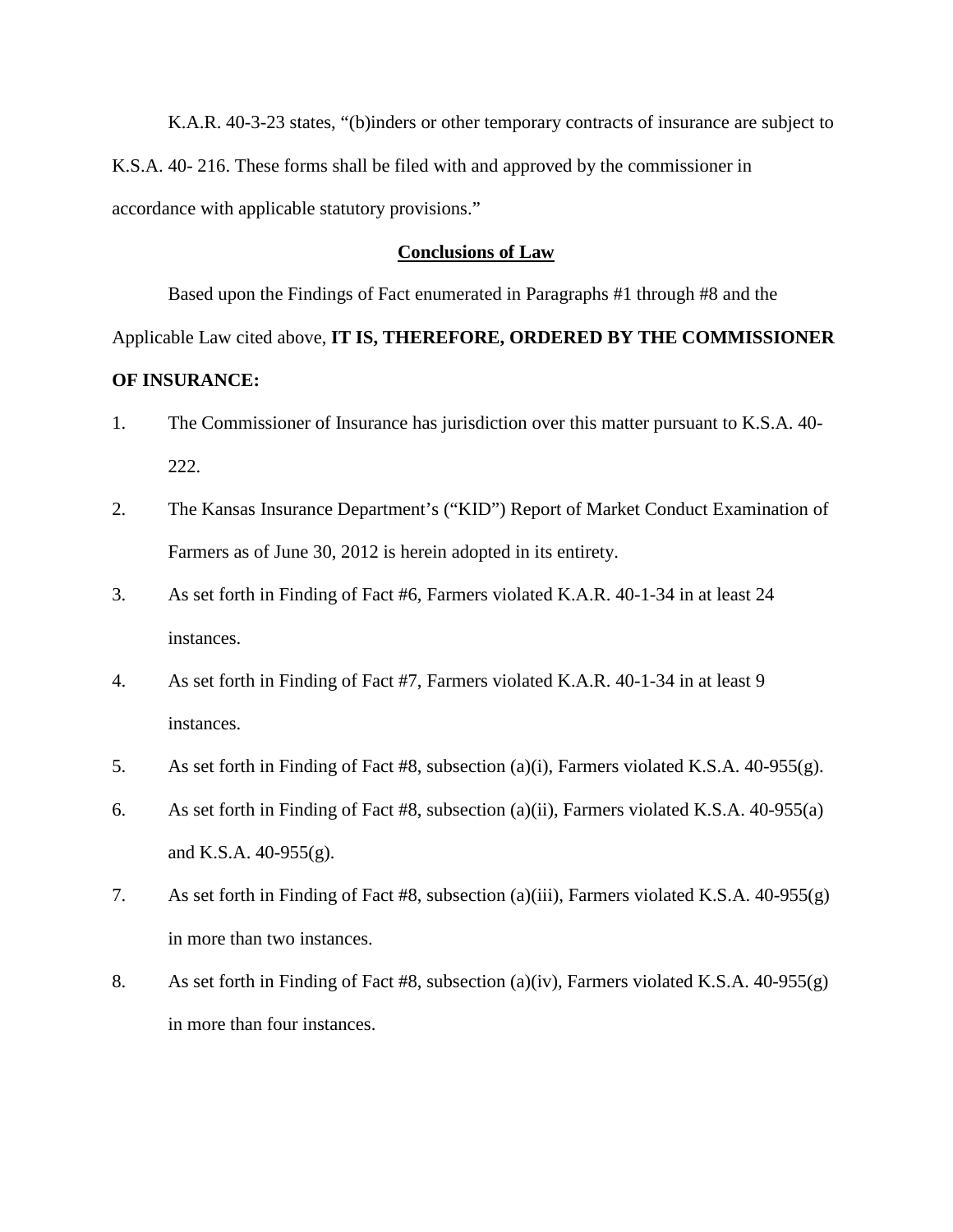K.A.R. 40-3-23 states, "(b)inders or other temporary contracts of insurance are subject to K.S.A. 40- 216. These forms shall be filed with and approved by the commissioner in accordance with applicable statutory provisions."

#### **Conclusions of Law**

Based upon the Findings of Fact enumerated in Paragraphs #1 through #8 and the

Applicable Law cited above, **IT IS, THEREFORE, ORDERED BY THE COMMISSIONER OF INSURANCE:**

- 1. The Commissioner of Insurance has jurisdiction over this matter pursuant to K.S.A. 40- 222.
- 2. The Kansas Insurance Department's ("KID") Report of Market Conduct Examination of Farmers as of June 30, 2012 is herein adopted in its entirety.
- 3. As set forth in Finding of Fact #6, Farmers violated K.A.R. 40-1-34 in at least 24 instances.
- 4. As set forth in Finding of Fact #7, Farmers violated K.A.R. 40-1-34 in at least 9 instances.
- 5. As set forth in Finding of Fact #8, subsection (a)(i), Farmers violated K.S.A. 40-955(g).
- 6. As set forth in Finding of Fact #8, subsection (a)(ii), Farmers violated K.S.A. 40-955(a) and K.S.A. 40-955(g).
- 7. As set forth in Finding of Fact #8, subsection (a)(iii), Farmers violated K.S.A. 40-955(g) in more than two instances.
- 8. As set forth in Finding of Fact #8, subsection (a)(iv), Farmers violated K.S.A. 40-955(g) in more than four instances.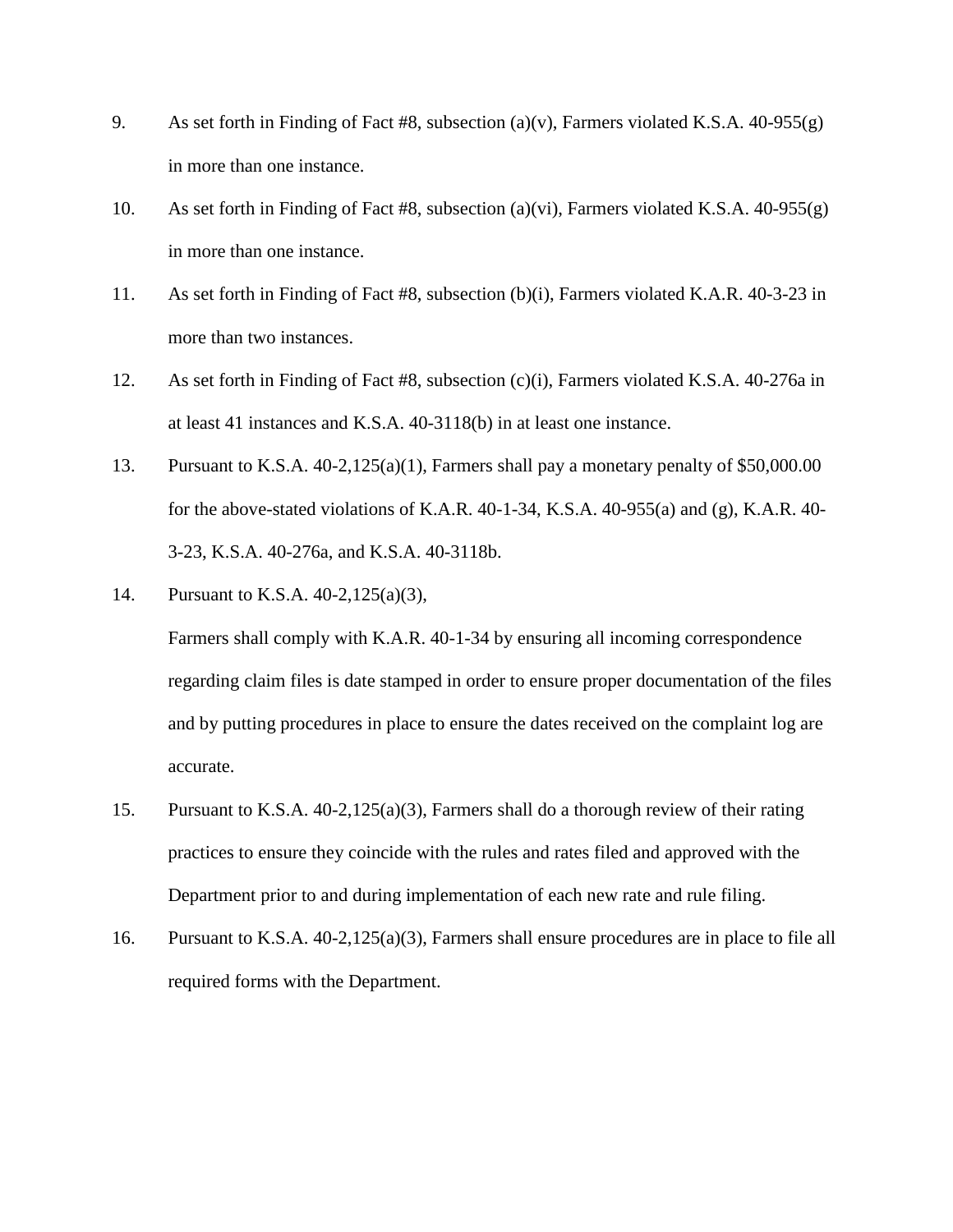- 9. As set forth in Finding of Fact #8, subsection (a)(v), Farmers violated K.S.A. 40-955(g) in more than one instance.
- 10. As set forth in Finding of Fact #8, subsection (a)(vi), Farmers violated K.S.A. 40-955(g) in more than one instance.
- 11. As set forth in Finding of Fact #8, subsection (b)(i), Farmers violated K.A.R. 40-3-23 in more than two instances.
- 12. As set forth in Finding of Fact #8, subsection (c)(i), Farmers violated K.S.A. 40-276a in at least 41 instances and K.S.A. 40-3118(b) in at least one instance.
- 13. Pursuant to K.S.A. 40-2,125(a)(1), Farmers shall pay a monetary penalty of \$50,000.00 for the above-stated violations of K.A.R. 40-1-34, K.S.A. 40-955(a) and (g), K.A.R. 40- 3-23, K.S.A. 40-276a, and K.S.A. 40-3118b.
- 14. Pursuant to K.S.A. 40-2,125(a)(3),

Farmers shall comply with K.A.R. 40-1-34 by ensuring all incoming correspondence regarding claim files is date stamped in order to ensure proper documentation of the files and by putting procedures in place to ensure the dates received on the complaint log are accurate.

- 15. Pursuant to K.S.A. 40-2,125(a)(3), Farmers shall do a thorough review of their rating practices to ensure they coincide with the rules and rates filed and approved with the Department prior to and during implementation of each new rate and rule filing.
- 16. Pursuant to K.S.A. 40-2,125(a)(3), Farmers shall ensure procedures are in place to file all required forms with the Department.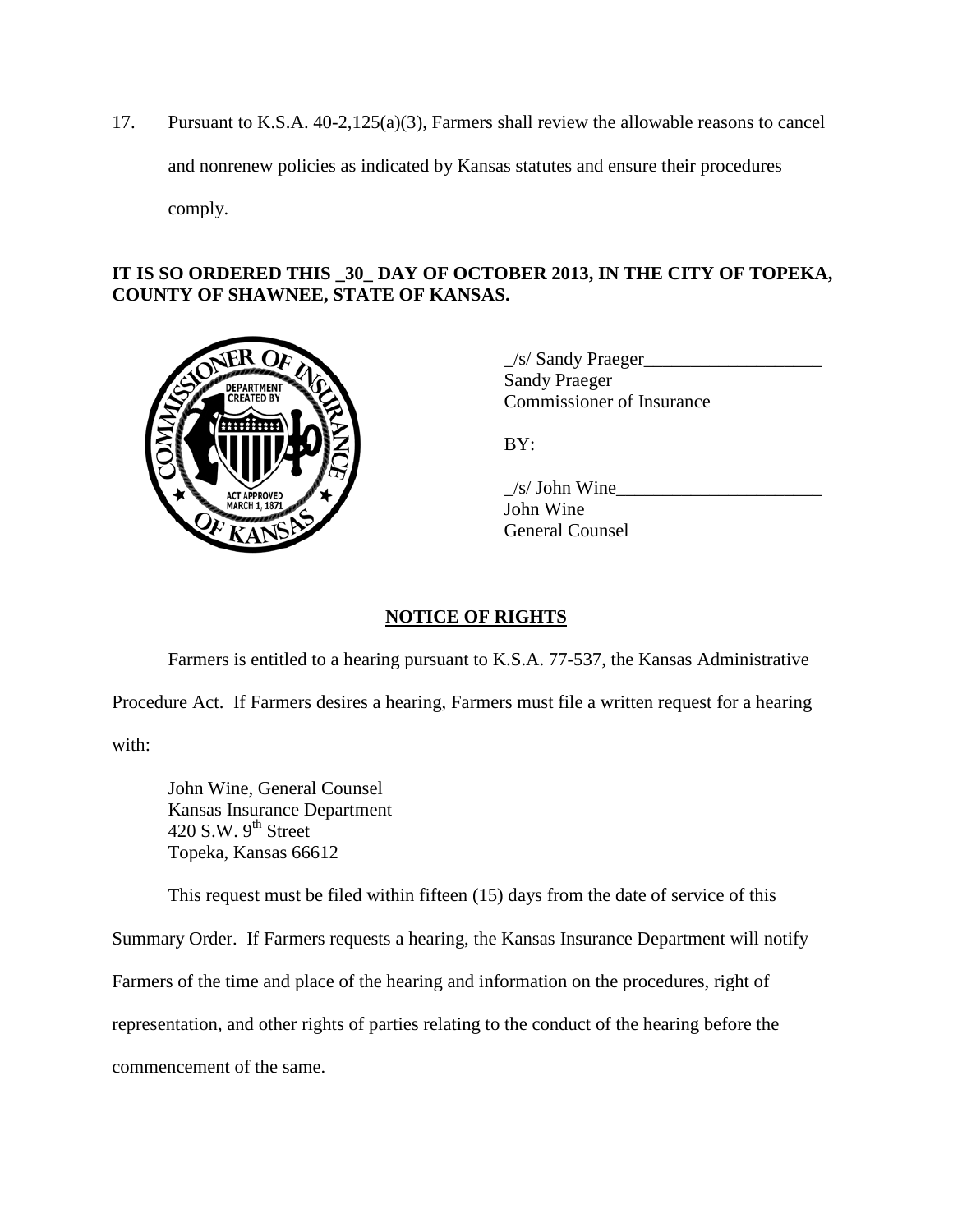17. Pursuant to K.S.A. 40-2,125(a)(3), Farmers shall review the allowable reasons to cancel and nonrenew policies as indicated by Kansas statutes and ensure their procedures comply.

## **IT IS SO ORDERED THIS \_30\_ DAY OF OCTOBER 2013, IN THE CITY OF TOPEKA, COUNTY OF SHAWNEE, STATE OF KANSAS.**



 $\angle$ s/ Sandy Praeger $\angle$ Sandy Praeger Commissioner of Insurance

 $BY:$ 

 $/s/$  John Wine John Wine General Counsel

# **NOTICE OF RIGHTS**

Farmers is entitled to a hearing pursuant to K.S.A. 77-537, the Kansas Administrative Procedure Act. If Farmers desires a hearing, Farmers must file a written request for a hearing

with:

John Wine, General Counsel Kansas Insurance Department 420 S.W.  $9<sup>th</sup>$  Street Topeka, Kansas 66612

This request must be filed within fifteen (15) days from the date of service of this

Summary Order. If Farmers requests a hearing, the Kansas Insurance Department will notify

Farmers of the time and place of the hearing and information on the procedures, right of

representation, and other rights of parties relating to the conduct of the hearing before the

commencement of the same.